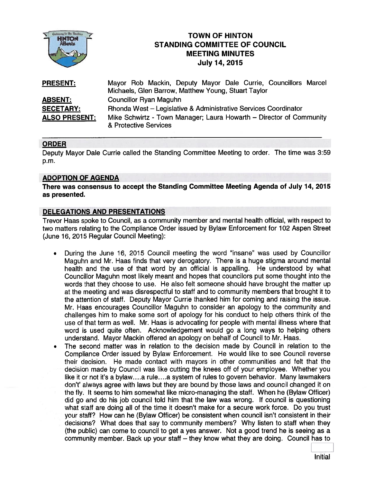

# **TOWN OF HINTON** STANDING COMMITTEE OF COUNCIL MEETING MINUTES **July 14, 2015**

| <b>PRESENT:</b>      | Mayor Rob Mackin, Deputy Mayor Dale Currie, Councillors Marcel<br>Michaels, Glen Barrow, Matthew Young, Stuart Taylor |
|----------------------|-----------------------------------------------------------------------------------------------------------------------|
| <b>ABSENT:</b>       | <b>Councillor Ryan Maguhn</b>                                                                                         |
| <b>SECETARY:</b>     | Rhonda West - Legislative & Administrative Services Coordinator                                                       |
| <b>ALSO PRESENT:</b> | Mike Schwirtz - Town Manager; Laura Howarth – Director of Community<br>& Protective Services                          |

# ORDER

Deputy Mayor Dale Currie called the Standing Committee Meeting to order. The time was 3:59 p.m.

#### ADOPTION OF AGENDA

There was consensus to accep<sup>t</sup> the Standing Committee Meeting Agenda of July 14, 2015 as presented.

### DELEGATIONS AND PRESENTATIONS

Trevor Haas spoke to Council, as <sup>a</sup> community member and mental health official, with respec<sup>t</sup> to two matters relating to the Compliance Order issued by Bylaw Enforcement for 102 Aspen Street (June 16, 2015 Regular Council Meeting):

- During the June 16, 2015 Council meeting the word "insane" was used by Councillor  $\bullet$ Maguhn and Mr. Haas finds that very derogatory. There is <sup>a</sup> huge stigma around mental health and the use of that word by an official is appalling. He understood by what Councillor Maguhn most likely meant and hopes that councilors pu<sup>t</sup> some thought into the words that they choose to use. He also felt someone should have brought the matter up at the meeting and was disrespectful to staff and to community members that brought it to the attention of staff. Deputy Mayor Currie thanked him for coming and raising the issue. Mr. Haas encourages Councillor Maguhn to consider an apology to the community and challenges him to make some sort of apology for his conduct to help others think of the use of that term as well. Mr. Haas is advocating for people with mental illness where that word is used quite often. Acknowledgement would go <sup>a</sup> long ways to helping others understand. Mayor Mackin offered an apology on behalf of Council to Mr. Haas.
- • The second matter was in relation to the decision made by Council in relation to the Compliance Order issued by Bylaw Enforcement. He would like to see Council reverse their decision. He made contact with mayors in other communities and felt that the decision made by Council was like cutting the knees oft of your employee. Whether you like it or not it's a bylaw....a rule....a system of rules to govern behavior. Many lawmakers don't' always agree with laws but they are bound by those laws and council changed it on the fly. It seems to him somewhat like micro-managing the staff. When he (Bylaw Officer) did go and do his job council told him that the law was wrong. If council is questioning what staff are doing all of the time it doesn't make for <sup>a</sup> secure work force. Do you trust your staff? How can he (Bylaw Officer) be consistent when council isn't consistent in their decisions? What does that say to community members? Why listen to staff when they (the public) can come to council to ge<sup>t</sup> <sup>a</sup> yes answer. Not <sup>a</sup> good trend he is seeing as <sup>a</sup> community member. Back up your staff — they know what they are doing. Council has to